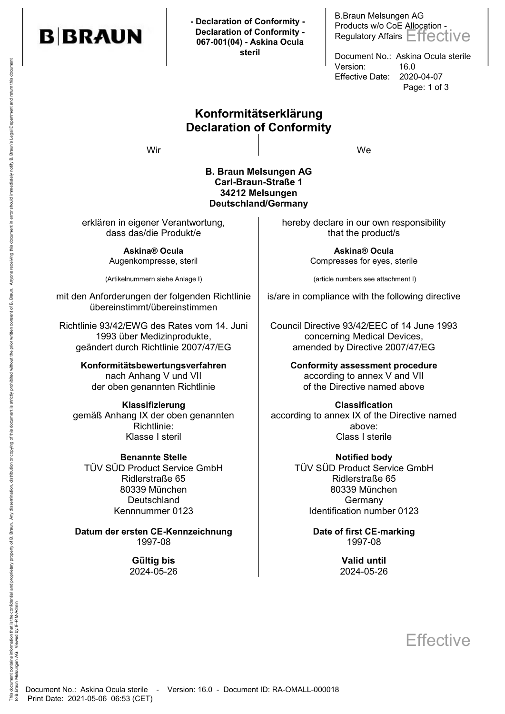

 **- Declaration of Conformity - Declaration of Conformity - 067-001(04) - Askina Ocula steril**

B.Braun Melsungen AG Products w/o CoE Allocation - Regulatory Affairs Effective

Document No.: Askina Ocula sterile Version: 16.0 Effective Date: 2020-04-07 Page: 1 of 3

## Konformitätserklärung Declaration of Conformity

Wir and the contract of the contract of the contract of the contract of the contract of the contract of the co

#### B. Braun Melsungen AG Carl-Braun-Straße 1 34212 Melsungen Deutschland/Germany

erklären in eigener Verantwortung, dass das/die Produkt/e

> Askina® Ocula Augenkompresse, steril

(Artikelnummern siehe Anlage I)

mit den Anforderungen der folgenden Richtlinie übereinstimmt/übereinstimmen

Richtlinie 93/42/EWG des Rates vom 14. Juni 1993 über Medizinprodukte, geändert durch Richtlinie 2007/47/EG

> Konformitätsbewertungsverfahren nach Anhang V und VII der oben genannten Richtlinie

Klassifizierung gemäß Anhang IX der oben genannten Richtlinie: Klasse I steril

TÜV SÜD Product Service GmbH Ridlerstraße 65 80339 München **Deutschland** Kennnummer 0123

Datum der ersten CE-Kennzeichnung and Date of first CE-marking 1997-08 1997-08

> Gültig bis **Valid until** 2024-05-26 2024-05-26

hereby declare in our own responsibility that the product/s

> Askina® Ocula Compresses for eyes, sterile

(article numbers see attachment I)

is/are in compliance with the following directive

Council Directive 93/42/EEC of 14 June 1993 concerning Medical Devices, amended by Directive 2007/47/EG

> Conformity assessment procedure according to annex V and VII of the Directive named above

Classification according to annex IX of the Directive named above:<br>Class I sterile

Benannte Stelle Notified body TÜV SÜD Product Service GmbH Ridlerstraße 65 80339 München **Germany** Identification number 0123

**Effective**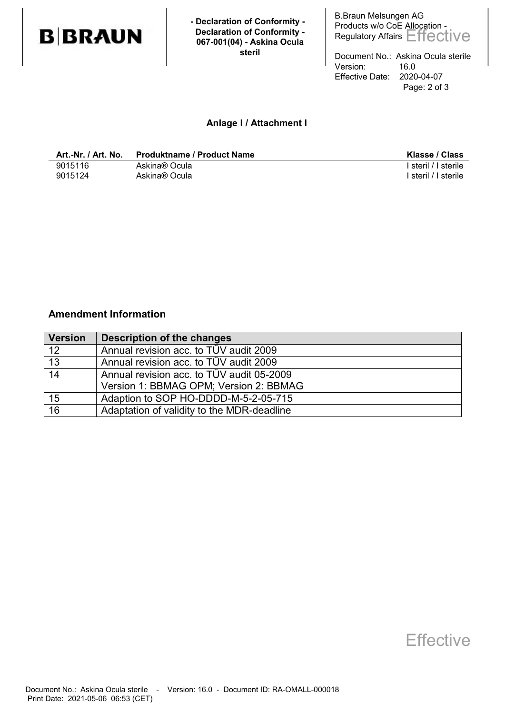

 **- Declaration of Conformity - Declaration of Conformity - 067-001(04) - Askina Ocula steril**

B.Braun Melsungen AG Products w/o CoE Allocation -Regulatory Affairs Effective

Document No.: Askina Ocula sterile Version: 16.0 Effective Date: 2020-04-07 Page: 2 of 3

### Anlage I / Attachment I

| Art.-Nr. / Art. No. | <b>Produktname / Product Name</b> | Klasse / Class       |
|---------------------|-----------------------------------|----------------------|
| 9015116             | Askina® Ocula                     | steril / I sterile   |
| 9015124             | Askina® Ocula                     | ' steril / I sterile |

### Amendment Information

| <b>Version</b>  | Description of the changes                 |
|-----------------|--------------------------------------------|
| 12              | Annual revision acc. to TÜV audit 2009     |
| $\overline{13}$ | Annual revision acc. to TÜV audit 2009     |
| $\overline{14}$ | Annual revision acc. to TÜV audit 05-2009  |
|                 | Version 1: BBMAG OPM; Version 2: BBMAG     |
| 15              | Adaption to SOP HO-DDDD-M-5-2-05-715       |
| 16              | Adaptation of validity to the MDR-deadline |

# **Effective**